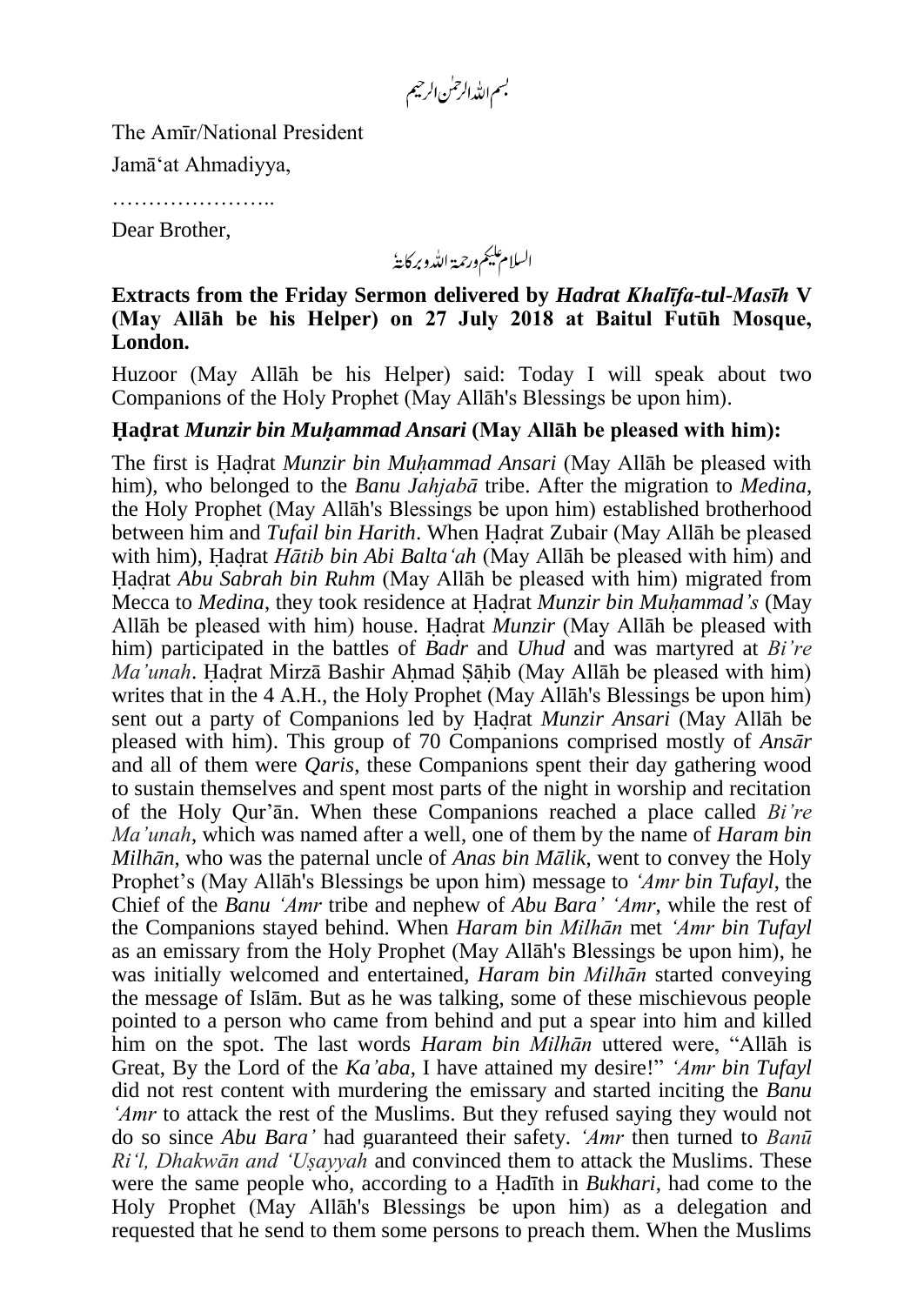بسم الله الرحمٰن الرحيم

The Amīr/National President

Jamā'at Ahmadiyya,

……………………

Dear Brother,

السلام عليم ورحمة اللدو بركايةُ

**Extracts from the Friday Sermon delivered by** *Hadrat Khalīfa-tul-Masīh* **V (May Allāh be his Helper) on 27 July 2018 at Baitul Futūh Mosque, London.**

Huzoor (May Allāh be his Helper) said: Today I will speak about two Companions of the Holy Prophet (May Allāh's Blessings be upon him).

## **Hadrat** *Munzir bin Muhammad Ansari* **(May Allāh be pleased with him):**

The first is Hadrat *Munzir bin Muhammad Ansari* (May Allāh be pleased with him), who belonged to the *Banu Jahjabā* tribe. After the migration to *Medina*, the Holy Prophet (May Allāh's Blessings be upon him) established brotherhood between him and *Tufail bin Harith*. When Hadrat Zubair (May Allāh be pleased with him), Hadrat *Hātib bin Abi Balta'ah* (May Allāh be pleased with him) and Hadrat *Abu Sabrah bin Ruhm* (May Allāh be pleased with him) migrated from Mecca to *Medina*, they took residence at Hadrat *Munzir bin Muhammad's* (May Allāh be pleased with him) house. Hadrat *Munzir* (May Allāh be pleased with him) participated in the battles of *Badr* and *Uhud* and was martyred at *Bi're Ma'unah*. Hadrat Mirzā Bashir Ahmad Sahib (May Allāh be pleased with him) writes that in the 4 A.H., the Holy Prophet (May Allāh's Blessings be upon him) sent out a party of Companions led by Hadrat *Munzir Ansari* (May Allāh be pleased with him). This group of 70 Companions comprised mostly of *Ansār* and all of them were *Qaris*, these Companions spent their day gathering wood to sustain themselves and spent most parts of the night in worship and recitation of the Holy Qur'ān. When these Companions reached a place called *Bi're Ma'unah*, which was named after a well, one of them by the name of *Haram bin Milhān*, who was the paternal uncle of *Anas bin Mālik*, went to convey the Holy Prophet's (May Allāh's Blessings be upon him) message to *'Amr bin Tufayl*, the Chief of the *Banu 'Amr* tribe and nephew of *Abu Bara' 'Amr*, while the rest of the Companions stayed behind. When *Haram bin Milhān* met *'Amr bin Tufayl* as an emissary from the Holy Prophet (May Allāh's Blessings be upon him), he was initially welcomed and entertained, *Haram bin Milhān* started conveying the message of Islām. But as he was talking, some of these mischievous people pointed to a person who came from behind and put a spear into him and killed him on the spot. The last words *Haram bin Milhān* uttered were, "Allāh is Great, By the Lord of the *Ka'aba*, I have attained my desire!" *'Amr bin Tufayl* did not rest content with murdering the emissary and started inciting the *Banu 'Amr* to attack the rest of the Muslims. But they refused saying they would not do so since *Abu Bara'* had guaranteed their safety. *'Amr* then turned to *Banū Ri'l, Dhakwān and 'Uṣayyah* and convinced them to attack the Muslims. These were the same people who, according to a Hadīth in *Bukhari*, had come to the Holy Prophet (May Allāh's Blessings be upon him) as a delegation and requested that he send to them some persons to preach them. When the Muslims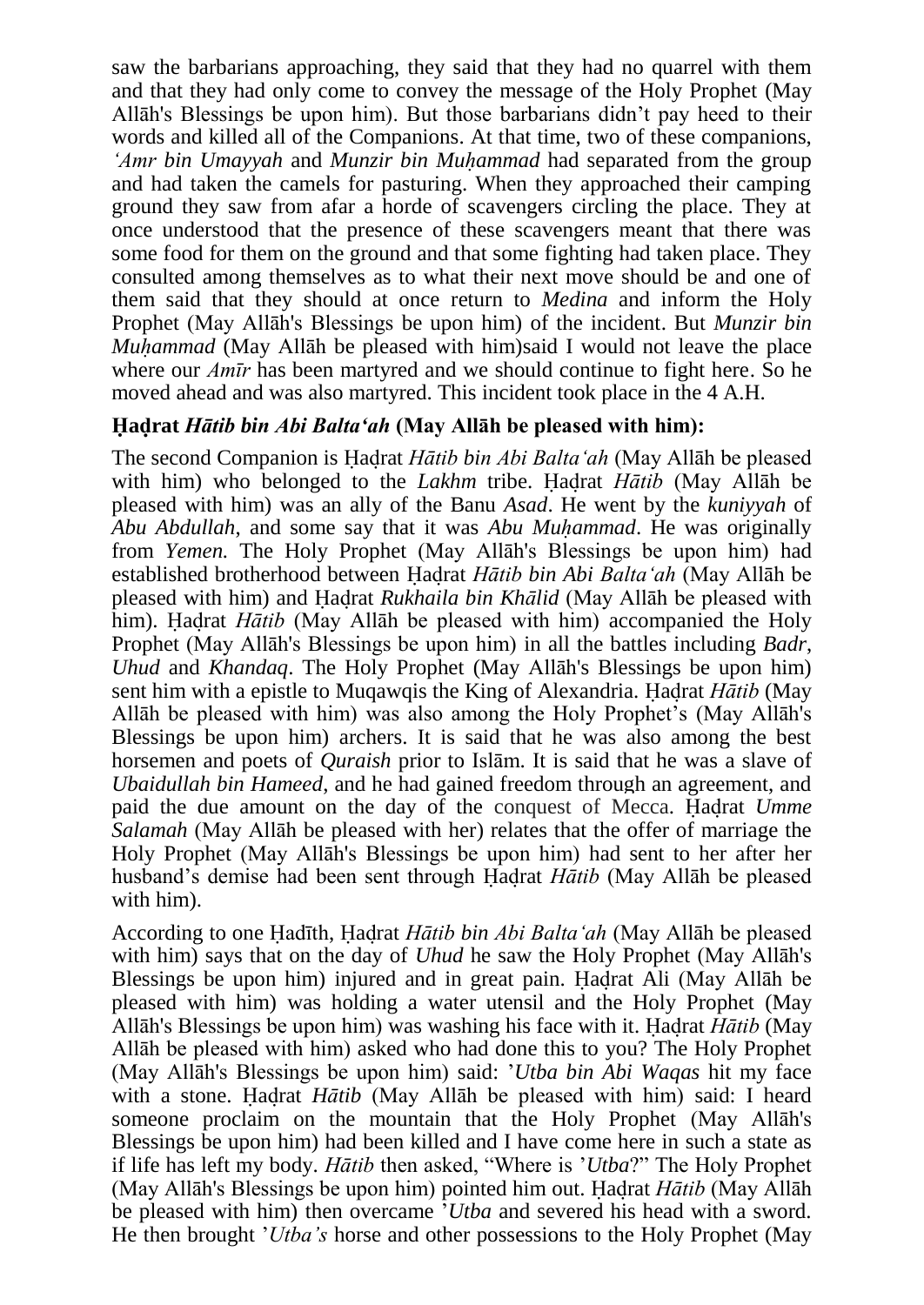saw the barbarians approaching, they said that they had no quarrel with them and that they had only come to convey the message of the Holy Prophet (May Allāh's Blessings be upon him). But those barbarians didn't pay heed to their words and killed all of the Companions. At that time, two of these companions, *'Amr bin Umayyah* and *Munzir bin Muhammad* had separated from the group and had taken the camels for pasturing. When they approached their camping ground they saw from afar a horde of scavengers circling the place. They at once understood that the presence of these scavengers meant that there was some food for them on the ground and that some fighting had taken place. They consulted among themselves as to what their next move should be and one of them said that they should at once return to *Medina* and inform the Holy Prophet (May Allāh's Blessings be upon him) of the incident. But *Munzir bin Muhammad* (May Allāh be pleased with him)said I would not leave the place where our *Amīr* has been martyred and we should continue to fight here. So he moved ahead and was also martyred. This incident took place in the 4 A.H.

## **Hadrat** *Hātib bin Abi Balta'ah* **(May Allāh be pleased with him):**

The second Companion is Hadrat *Hātib bin Abi Balta'ah* (May Allāh be pleased with him) who belonged to the *Lakhm* tribe. Hadrat *Hātib* (May Allāh be pleased with him) was an ally of the Banu *Asad*. He went by the *kuniyyah* of *Abu Abdullah*, and some say that it was *Abu Muhammad*. He was originally from *Yemen.* The Holy Prophet (May Allāh's Blessings be upon him) had established brotherhood between Hadrat *Hātib bin Abi Balta'ah* (May Allāh be pleased with him) and Hadrat *Rukhaila bin Khālid* (May Allāh be pleased with him). Hadrat *Hātib* (May Allāh be pleased with him) accompanied the Holy Prophet (May Allāh's Blessings be upon him) in all the battles including *Badr*, *Uhud* and *Khandaq*. The Holy Prophet (May Allāh's Blessings be upon him) sent him with a epistle to Muqawqis the King of Alexandria. Hadrat *Hātib* (May Allāh be pleased with him) was also among the Holy Prophet's (May Allāh's Blessings be upon him) archers. It is said that he was also among the best horsemen and poets of *Quraish* prior to Islām. It is said that he was a slave of *Ubaidullah bin Hameed*, and he had gained freedom through an agreement, and paid the due amount on the day of the conquest of Mecca. Hadrat *Umme Salamah* (May Allāh be pleased with her) relates that the offer of marriage the Holy Prophet (May Allāh's Blessings be upon him) had sent to her after her husband's demise had been sent through Hadrat *Hātib* (May Allāh be pleased with him).

According to one Hadīth, Hadrat *Hātib bin Abi Balta'ah* (May Allāh be pleased with him) says that on the day of *Uhud* he saw the Holy Prophet (May Allāh's Blessings be upon him) injured and in great pain. Hadrat Ali (May Allāh be pleased with him) was holding a water utensil and the Holy Prophet (May Allāh's Blessings be upon him) was washing his face with it. Hadrat *Hātib* (May Allāh be pleased with him) asked who had done this to you? The Holy Prophet (May Allāh's Blessings be upon him) said: '*Utba bin Abi Waqas* hit my face with a stone. Hadrat *Hātib* (May Allāh be pleased with him) said: I heard someone proclaim on the mountain that the Holy Prophet (May Allāh's Blessings be upon him) had been killed and I have come here in such a state as if life has left my body. *Hātib* then asked, "Where is '*Utba*?" The Holy Prophet (May Allāh's Blessings be upon him) pointed him out. Hadrat *Hātib* (May Allāh be pleased with him) then overcame '*Utba* and severed his head with a sword. He then brought '*Utba's* horse and other possessions to the Holy Prophet (May